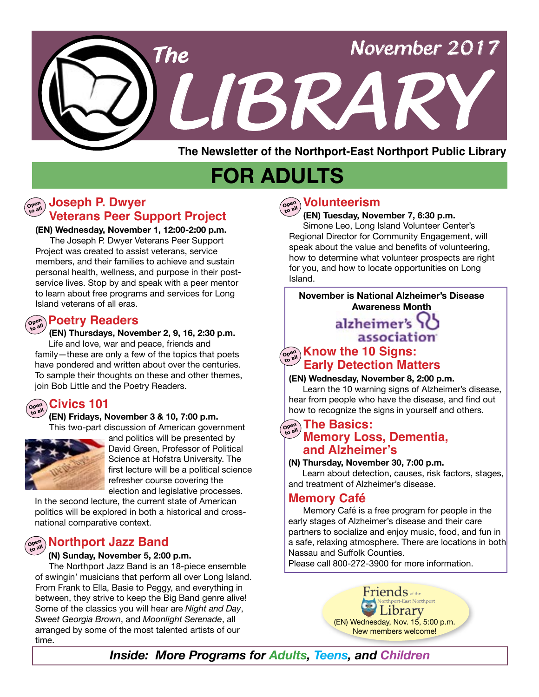

**The Newsletter of the Northport-East Northport Public Library**

# **FOR ADULTS**

# **Veterans Peer Support Project Open to all Joseph P. Dwyer**

**(EN) Wednesday, November 1, 12:00-2:00 p.m.**

 The Joseph P. Dwyer Veterans Peer Support Project was created to assist veterans, service members, and their families to achieve and sustain personal health, wellness, and purpose in their postservice lives. Stop by and speak with a peer mentor to learn about free programs and services for Long Island veterans of all eras.

# $\left(\begin{smallmatrix} \mathbf{open}\\ \mathbf{open}\end{smallmatrix}\right)$  **Poetry Readers**

#### **(EN) Thursdays, November 2, 9, 16, 2:30 p.m.**

 Life and love, war and peace, friends and family—these are only a few of the topics that poets have pondered and written about over the centuries. To sample their thoughts on these and other themes, join Bob Little and the Poetry Readers.

#### **Open to all Civics 101**

#### **(EN) Fridays, November 3 & 10, 7:00 p.m.**

This two-part discussion of American government



and politics will be presented by David Green, Professor of Political Science at Hofstra University. The first lecture will be a political science refresher course covering the election and legislative processes.

In the second lecture, the current state of American politics will be explored in both a historical and crossnational comparative context.

# **Open to all Northport Jazz Band**

#### **(N) Sunday, November 5, 2:00 p.m.**

 The Northport Jazz Band is an 18-piece ensemble of swingin' musicians that perform all over Long Island. From Frank to Ella, Basie to Peggy, and everything in between, they strive to keep the Big Band genre alive! Some of the classics you will hear are *Night and Day*, *Sweet Georgia Brown*, and *Moonlight Serenade*, all arranged by some of the most talented artists of our time.



# **to all Volunteerism**

 **(EN) Tuesday, November 7, 6:30 p.m.** Simone Leo, Long Island Volunteer Center's Regional Director for Community Engagement, will speak about the value and benefits of volunteering, how to determine what volunteer prospects are right for you, and how to locate opportunities on Long Island.

### **November is National Alzheimer's Disease Awareness Month**

# alzheimer's association

## $\overline{\mathbf{C}}_{\mathbf{C}^{\text{out}}}$  **Know the 10 Signs: Early Detection Matters**

#### **(EN) Wednesday, November 8, 2:00 p.m.**

 Learn the 10 warning signs of Alzheimer's disease, hear from people who have the disease, and find out how to recognize the signs in yourself and others.

### **Open to all The Basics: Memory Loss, Dementia, and Alzheimer's**

#### **(N) Thursday, November 30, 7:00 p.m.**

 Learn about detection, causes, risk factors, stages, and treatment of Alzheimer's disease.

## **Memory Café**

Memory Café is a free program for people in the early stages of Alzheimer's disease and their care partners to socialize and enjoy music, food, and fun in a safe, relaxing atmosphere. There are locations in both Nassau and Suffolk Counties.

Please call 800-272-3900 for more information.

 $\textsf{Friends}_{\textsf{offhe}}$ art-East Northport 1brary (EN) Wednesday, Nov. 15, 5:00 p.m. New members welcome!

*Inside: More Programs for Adults, Teens, and Children*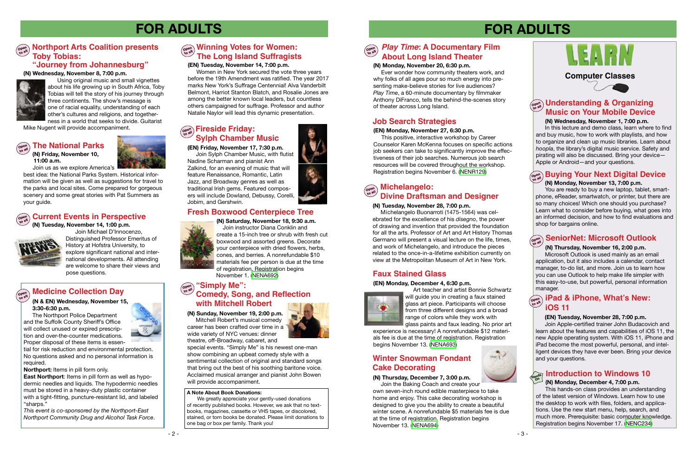# **FOR ADULTS**



**(EN) Friday, November 17, 7:30 p.m.**

Join Sylph Chamber Music, with flutist Nadine Scharman and pianist Ann Zalkind, for an evening of music that will feature Renaissance, Romantic, Latin Jazz, and Broadway genres as well as traditional Irish gems. Featured composers will include Dowland, Debussy, Corelli, Jobim, and Gershwin.

# **Fresh Boxwood Centerpiece Tree**



**(N) Saturday, November 18, 9:30 a.m.**  Join instructor Diana Conklin and create a 15-inch tree or shrub with fresh cut boxwood and assorted greens. Decorate your centerpiece with dried flowers, herbs, cones, and berries. A nonrefundable \$10 materials fee per person is due at the time of registration. Registration begins November 1. ([NENA692](http://alpha1.suffolk.lib.ny.us/record%3Dg1077034~S43))

### **Computer Classes**

# **FOR ADULTS**



#### **(N) Monday, December 4, 7:00 p.m.**

#### Open<br>to all **to all SeniorNet: Microsoft Outlook**

 This hands-on class provides an understanding of the latest version of Windows. Learn how to use the desktop to work with files, folders, and applications. Use the new start menu, help, search, and much more. Prerequisite: basic computer knowledge. Registration begins November 17. ([NENC234](http://alpha1.suffolk.lib.ny.us/record%3Dg1040832~S43))

 **(N) Wednesday, November 1, 7:00 p.m.** 

#### **Open Medicine Collection Day**

In this lecture and demo class, learn where to find and buy music, how to work with playlists, and how to organize and clean up music libraries. Learn about *hoopla*, the library's digital music service. Safety and pirating will also be discussed. Bring your device— Apple or Android—and your questions.

# **Open to all Buying Your Next Digital Device**

**East Northport**: Items in pill form as well as hypodermic needles and liquids. The hypodermic needles must be stored in a heavy-duty plastic container with a tight-fitting, puncture-resistant lid, and labeled "sharps."

#### **(N) Monday, November 13, 7:00 p.m.**

# **Open to all Winning Votes for Women: The Long Island Suffragists**

You are ready to buy a new laptop, tablet, smartphone, eReader, smartwatch, or printer, but there are so many choices! Which one should you purchase? Learn what to consider before buying, what goes into an informed decision, and how to find evaluations and shop for bargains online.

#### **(N) Thursday, November 16, 2:00 p.m.**

# **Fireside Friday:** The Search Strategies and will provide accompaniment. **The Contract of All Lensing Contract of All Lensing Contract of All Lensing Contract of All Lensing Contract of All Lensing Contract of All Lensing Sylph Chamber Music**

Microsoft Outlook is used mainly as an email application, but it also includes a calendar, contact manager, to-do list, and more. Join us to learn how you can use Outlook to help make life simpler with this easy-to-use, but powerful, personal information manager.

#### **(EN) Tuesday, November 14, 7:00 p.m.**

 Women in New York secured the vote three years before the 19th Amendment was ratified. The year 2017 marks New York's Suffrage Centennial! Alva Vanderbilt Belmont, Harriot Stanton Blatch, and Rosalie Jones are among the better known local leaders, but countless others campaigned for suffrage. Professor and author Natalie Naylor will lead this dynamic presentation.

#### **(N & EN) Wednesday, November 15, 3:30-6:30 p.m.**

 The Northport Police Department and the Suffolk County Sheriff's Office will collect unused or expired prescription and over-the-counter medications. Proper disposal of these items is essen-



tial for risk reduction and environmental protection. No questions asked and no personal information is required.

**Northport:** Items in pill form only.

*This event is co-sponsored by the Northport-East Northport Community Drug and Alcohol Task Force*.

 **(N) Friday, November 10, 11:00 a.m.** 



Join us as we explore America's

# $\widehat{\mathcal{C}^{\text{open}}_{\text{new}}}$  **iPad & iPhone, What's New: iOS 11**

#### **Open to all The National Parks**

best idea: the National Parks System. Historical information will be given as well as suggestions for travel to the parks and local sites. Come prepared for gorgeous scenery and some great stories with Pat Summers as your guide.

# $\left(\begin{smallmatrix} \mathbb{C}^{\text{opt}} \\ \mathbb{C}^{\text{opt}} \end{smallmatrix}\right)$  Current Events in Perspective

 **(N) Tuesday, November 14, 1:00 p.m.** 



Join Michael D'Innocenzo, Distinguished Professor Emeritus of History at Hofstra University, to explore significant national and international developments. All attending are welcome to share their views and pose questions.

# **Open to all Understanding & Organizing Music on Your Mobile Device**

**(N) Sunday, November 19, 2:00 p.m.** Mitchell Robert's musical comedy career has been crafted over time in a wide variety of NYC venues: dinner theatre, off-Broadway, cabaret, and

special events. "Simply Me" is his newest one-man show combining an upbeat comedy style with a sentimental collection of original and standard songs that bring out the best of his soothing baritone voice. Acclaimed musical arranger and pianist John Bowen will provide accompaniment.

# **Open "Simply Me": to all Comedy, Song, and Reflection with Mitchell Robert**

#### **(N) Tuesday, November 28, 7:00 p.m.**

 Michelangelo Buonarroti (1475-1564) was celebrated for the excellence of his *disegno*, the power of drawing and invention that provided the foundation for all the arts. Professor of Art and Art History Thomas Germano will present a visual lecture on the life, times, and work of Michelangelo, and introduce the pieces related to the once-in-a-lifetime exhibition currently on view at the Metropolitan Museum of Art in New York.

# **Faux Stained Glass**

#### **(EN) Monday, December 4, 6:30 p.m.**



 Art teacher and artist Bonnie Schwartz will guide you in creating a faux stained glass art piece. Participants will choose from three different designs and a broad range of colors while they work with glass paints and faux leading. No prior art

experience is necessary! A nonrefundable \$12 materials fee is due at the time of registration. Registration begins November 13. ([NENA693](http://alpha1.suffolk.lib.ny.us/record%3Dg1077092~S43))

# **(N) Thursday, December 7, 3:00 p.m.**

# **Winter Snowman Fondant Cake Decorating**

 Join the Baking Coach and create your own seven-inch round edible masterpiece to take home and enjoy. This cake decorating workshop is designed to give you the ability to create a beautiful winter scene. A nonrefundable \$5 materials fee is due at the time of registration. Registration begins November 13. ([NENA694](http://alpha1.suffolk.lib.ny.us/record%3Dg1077095~S43))

# **Open to all Northport Arts Coalition presents Toby Tobias:**

# **"Journey from Johannesburg"**

**(N) Wednesday, November 8, 7:00 p.m.**



 Using original music and small vignettes about his life growing up in South Africa, Toby Tobias will tell the story of his journey through three continents. The show's message is one of racial equality, understanding of each other's cultures and religions, and together-

ness in a world that seeks to divide. Guitarist<br>Mike Nugent will provide accompaniment.

#### **Michelangelo: Divine Draftsman and Designer Open to all**

#### **(EN) Monday, November 27, 6:30 p.m.**

This positive, interactive workshop by Career Counselor Karen McKenna focuses on specific actions job seekers can take to significantly improve the effectiveness of their job searches. Numerous job search resources will be covered throughout the workshop. Registration begins November 6. ([NENR129\)](http://alpha1.suffolk.lib.ny.us/record%3Dg1077177~S43)

#### **(EN) Tuesday, November 28, 7:00 p.m.**

Join Apple-certified trainer John Budacovich and learn about the features and capabilities of iOS 11, the new Apple operating system. With iOS 11, iPhone and iPad become the most powerful, personal, and intelligent devices they have ever been. Bring your device and your questions.

# **Introduction to Windows 10**

#### **(N) Monday, November 20, 6:30 p.m.**

 Ever wonder how community theaters work, and why folks of all ages pour so much energy into presenting make-believe stories for live audiences? *Play Time*, a 60-minute documentary by filmmaker Anthony DiFranco, tells the behind-the-scenes story of theater across Long Island.



#### **A Note About Book Donations:**

We greatly appreciate your gently-used donations of recently published books. However, we ask that no textbooks, magazines, cassette or VHS tapes, or discolored, stained, or torn books be donated. Please limit donations to one bag or box per family. Thank you!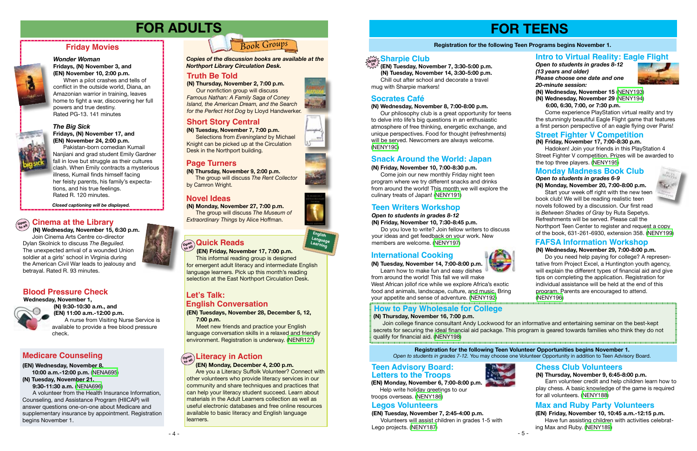# **FOR TEENS**

#### **Registration for the following Teen Programs begins November 1.**

#### **(N) Friday, November 10, 7:00-8:30 p.m.**

 Come join our new monthly Friday night teen program where we try different snacks and drinks from around the world! This month we will explore the culinary treats of Japan! [\(NENY191](http://alpha1.suffolk.lib.ny.us/record%3Dg1076548~S43))

# **Snack Around the World: Japan**

 **(EN) Tuesday, November 7, 3:30-5:00 p.m. (N) Tuesday, November 14, 3:30-5:00 p.m.** Chill out after school and decorate a travel mug with Sharpie markers!

**(N) Friday, November 17, 7:00-8:30 p.m.**

# **Sharpie Club drop in**

 Hadoken! Join your friends in this PlayStation 4 Street Fighter V competition. Prizes will be awarded to the top three players. [\(NENY195\)](http://alpha1.suffolk.lib.ny.us/record%3Dg1076551~S43)

# **Street Fighter V Competition**

- 4 -

#### *The Big Sick* **Fridays, (N) November 17, and (EN) November 24, 2:00 p.m.**

Pakistan-born comedian Kumail Nanjiani and grad student Emily Gardner fall in love but struggle as their cultures clash. When Emily contracts a mysterious illness, Kumail finds himself facing her feisty parents, his family's expectations, and his true feelings. Rated R. 120 minutes.

**(N) Thursday, November 2, 7:00 p.m.**  Our nonfiction group will discuss *Famous Nathan: A Family Saga of Coney Island, the American Dream, and the Search for the Perfect Hot Dog* by Lloyd Handwerker.

# **Friday Movies**



#### *Wonder Woman* **Fridays, (N) November 3, and (EN) November 10, 2:00 p.m.**

When a pilot crashes and tells of conflict in the outside world, Diana, an Amazonian warrior in training, leaves home to fight a war, discovering her full powers and true destiny. Rated PG-13. 141 minutes



*Closed captioning will be displayed.*

# **FOR ADULTS**

 **(N) Wednesday, November 15, 6:30 p.m.** Join Cinema Arts Centre co-director Dylan Skolnick to discuss *The Beguiled.* The unexpected arrival of a wounded Union soldier at a girls' school in Virginia during the American Civil War leads to jealousy and betrayal. Rated R. 93 minutes.

# **Open to all Cinema at the Library**



**(N) Monday, November 27, 7:00 p.m.** The group will discuss *The Museum of Extraordinary Things* by Alice Hoffman.

**(N) Thursday, November 9, 2:00 p.m.** The group will discuss *The Rent Collector* by Camron Wright.

*Copies of the discussion books are available at the Northport Library Circulation Desk.* 

### **Truth Be Told**

## **Novel Ideas**

# **Page Turners**

**(EN) Tuesdays, November 28, December 5, 12, 7:00 p.m.** 

Meet new friends and practice your English language conversation skills in a relaxed and friendly environment. Registration is underway. [\(NENR127](http://alpha1.suffolk.lib.ny.us/record%3Dg1075550~S43))

 **(EN) Friday, November 17, 7:00 p.m.** 

# **Let's Talk: English Conversation**

This informal reading group is designed for emergent adult literacy and intermediate English language learners. Pick up this month's reading selection at the East Northport Circulation Desk.

# **Open to all Quick Reads**

# **Short Story Central**

**(N) Tuesday, November 7, 7:00 p.m.** Selections from *Eveningland* by Michael Knight can be picked up at the Circulation Desk in the Northport building.



 **(N) 9:30-10:30 a.m., and (EN) 11:00 a.m.-12:00 p.m.**  A nurse from Visiting Nurse Service is available to provide a free blood pressure check.

Start your week off right with the new teen book club! We will be reading realistic teen novels followed by a discussion. Our first read is *Between Shades of Gray* by Ruta Sepetys. Refreshments will be served. Please call the Northport Teen Center to register and request a copy of the book, 631-261-6930, extension 358. ([NENY199\)](http://alpha1.suffolk.lib.ny.us/record%3Dg1076792~S43)

# **Blood Pressure Check**

#### **(N) Wednesday, November 8, 7:00-8:00 p.m.**

 Our philosophy club is a great opportunity for teens to delve into life's big questions in an enthusiastic atmosphere of free thinking, energetic exchange, and unique perspectives. Food for thought (refreshments) will be served. Newcomers are always welcome. [\(NENY190](http://alpha1.suffolk.lib.ny.us/record%3Dg1076546~S43))

# **Socrates Café**

### *Open to students in grades 8-12*

**(N) Friday, November 10, 7:30-8:45 p.m.**

 Do you love to write? Join fellow writers to discuss your ideas and get feedback on your work. New members are welcome. [\(NENY197](http://alpha1.suffolk.lib.ny.us/record%3Dg1076556~S43))

## **Teen Writers Workshop**

#### **(N) Tuesday, November 14, 7:00-8:00 p.m.** Learn how to make fun and easy dishes

from around the world! This fall we will make West African jollof rice while we explore Africa's exotic food and animals, landscape, culture, and music. Bring your appetite and sense of adventure. [\(NENY192](http://alpha1.suffolk.lib.ny.us/record%3Dg1076549~S43))

# **International Cooking**

**(EN) Monday, November 6, 7:00-8:00 p.m.** Help write holiday greetings to our troops overseas. ([NENY186](http://alpha1.suffolk.lib.ny.us/record%3Dg1076554~S43))

#### **(N) Thursday, November 9, 6:45-8:00 p.m.**

 Earn volunteer credit and help children learn how to play chess. A basic knowledge of the game is required for all volunteers. ([NENY188](http://alpha1.suffolk.lib.ny.us/record%3Dg1076557~S43))

# **Teen Advisory Board: Letters to the Troops**



### **Chess Club Volunteers**

**(EN) Friday, November 10, 10:45 a.m.-12:15 p.m.** Have fun assisting children with activities celebrating Max and Ruby. ([NENY189\)](http://alpha1.suffolk.lib.ny.us/record%3Dg1076558~S43)





## **Max and Ruby Party Volunteers**





# **Open to all Literacy in Action**

 **(EN) Monday, December 4, 2:00 p.m.**

 Are you a Literacy Suffolk Volunteer? Connect with other volunteers who provide literacy services in our community and share techniques and practices that can help your literacy student succeed. Learn about materials in the Adult Learners collection as well as useful electronic databases and free online resources available to basic literacy and English language learners.

#### **(EN) Wednesday, November 8, 10:00 a.m.-12:00 p.m.** [\(NENA695](http://alpha1.suffolk.lib.ny.us/record%3Dg1077243~S43))

**(N) Tuesday, November 21,**

 **9:30-11:30 a.m.** [\(NENA696\)](http://alpha1.suffolk.lib.ny.us/record%3Dg1077244~S43)

A volunteer from the Health Insurance Information, Counseling, and Assistance Program (HIICAP) will answer questions one-on-one about Medicare and supplementary insurance by appointment. Registration begins November 1.

# **Medicare Counseling**

*Open to students in grades 8-12 (13 years and older) Please choose one date and one 20-minute session:*

**(N) Wednesday, November 15** ([NENY193\)](http://alpha1.suffolk.lib.ny.us/record%3Dg1076793~S43)

**(N) Wednesday, November 29** ([NENY194\)](http://alpha1.suffolk.lib.ny.us/record%3Dg1076793~S43)

**6:00, 6:30, 7:00, or 7:30 p.m.**

 Come experience PlayStation virtual reality and try the stunningly beautiful Eagle Flight game that features a first person perspective of an eagle flying over Paris!

# **Intro to Virtual Reality: Eagle Flight**

*Open to students in grades 6-9* **(N) Monday, November 20, 7:00-8:00 p.m.**

### **Monday Madness Book Club**

#### **(N) Wednesday, November 29, 7:00-8:00 p.m.**

 Do you need help paying for college? A representative from Project Excel, a Huntington youth agency, will explain the different types of financial aid and give tips on completing the application. Registration for individual assistance will be held at the end of this program. Parents are encouraged to attend. [\(NENY196](http://alpha1.suffolk.lib.ny.us/record%3Dg1076552~S43))



## **FAFSA Information Workshop**

#### **(N) Thursday, November 16, 7:00 p.m.**

 Join college finance consultant Andy Lockwood for an informative and entertaining seminar on the best-kept secrets for securing the ideal financial aid package. This program is geared towards families who think they do not qualify for financial aid. ([NENY198\)](http://alpha1.suffolk.lib.ny.us/record%3Dg1076553~S43)

# **How to Pay Wholesale for College**

**Registration for the following Teen Volunteer Opportunities begins November 1.** *Open to students in grades 7-12.* You may choose one Volunteer Opportunity in addition to Teen Advisory Board.

**(EN) Tuesday, November 7, 2:45-4:00 p.m.** Volunteers will assist children in grades 1-5 with Lego projects. [\(NENY187\)](http://alpha1.suffolk.lib.ny.us/record%3Dg1076555~S43)







# **Legos Volunteers**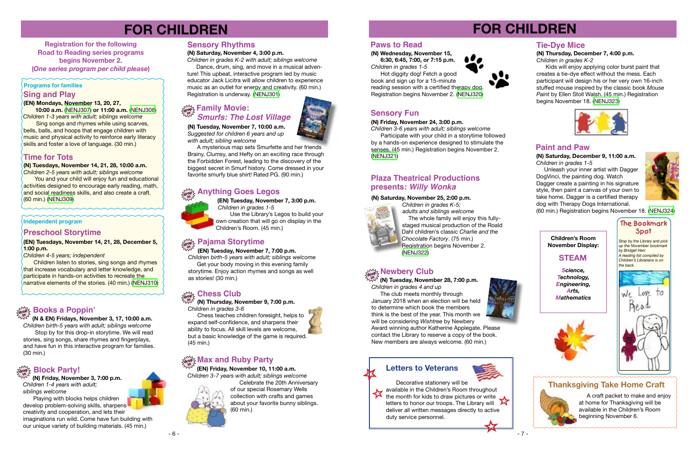





**(N) Tuesdays, November 14, 21, 28, 10:00 a.m.** 

*Children 2-5 years with adult; siblings welcome*

You and your child will enjoy fun and educational activities designed to encourage early reading, math, and social readiness skills, and also create a craft. (60 min.) ([NENJ309](http://alpha1.suffolk.lib.ny.us/record%3Dg1077022~S43))

# **(EN) Mondays, November 13, 20, 27,**

 **10:00 a.m.** ([NENJ307](http://alpha1.suffolk.lib.ny.us/record%3Dg1077010~S43)) **or 11:00 a.m.** ([NENJ308](http://alpha1.suffolk.lib.ny.us/record%3Dg1077011~S43)) *Children 1-3 years with adult; siblings welcome*

### **Sing and Play Programs for families**

 Sing songs and rhymes while using scarves, bells, balls, and hoops that engage children with music and physical activity to reinforce early literacy skills and foster a love of language. (30 min.)

# **FOR CHILDREN**

**Registration for the following Road to Reading series programs begins November 2. (***One series program per child please***)** 

# **Time for Tots**

**Independent program**

**(EN) Tuesdays, November 14, 21, 28, December 5, 1:00 p.m.**

*Children 4-5 years; independent*

Children listen to stories, sing songs and rhymes that increase vocabulary and letter knowledge, and participate in hands-on activities to recreate the narrative elements of the stories. (40 min.) [\(NENJ310\)](http://alpha1.suffolk.lib.ny.us/record%3Dg1077006~S43)

# **Preschool Storytime**

# **Tie-Dye Mice**

# **(N) Thursday, December 7, 4:00 p.m.**

*Children in grades K-2*

The club meets monthly through January 2018 when an election will be held to determine which book the members think is the best of the year. This month we will be considering *Wishtree* by Newbery Award winning author Katherine Applegate. Please

 Kids will enjoy applying color burst paint that creates a tie-dye effect without the mess. Each participant will design his or her very own 16-inch stuffed mouse inspired by the classic book *Mouse Paint* by Ellen Stoll Walsh. (45 min.) Registration begins November 18. [\(NENJ323\)](http://alpha1.suffolk.lib.ny.us/record%3Dg1075783~S43)



Dance, drum, sing, and move in a musical adventure! This upbeat, interactive program led by music educator Jack Licitra will allow children to experience music as an outlet for energy and creativity. (60 min.) Registration is underway. ([NENJ301](http://alpha1.suffolk.lib.ny.us/record%3Dg1075518~S43))

 **(N & EN) Fridays, November 3, 17, 10:00 a.m.** *Children birth-5 years with adult; siblings welcome* Stop by for this drop-in storytime. We will read stories, sing songs, share rhymes and fingerplays, and have fun in this interactive program for families. (30 min.)

#### **drop in Books a Poppin'**

# **FOR CHILDREN**

**(N) Tuesday, November 7, 10:00 a.m.** *Suggested for children 6 years and up with adult; sibling welcome*

> **drop in (N) Tuesday, November 28, 7:00 p.m.** *Children in grades 4 and up*

 A mysterious map sets Smurfette and her friends Brainy, Clumsy, and Hefty on an exciting race through the Forbidden Forest, leading to the discovery of the biggest secret in Smurf history. Come dressed in your favorite smurfy blue shirt! Rated PG. (90 min.)

# **Newbery Club**

*Children 3-6 years with adult; siblings welcome* Participate with your child in a storytime followed

# **Family Movie:**<br> **in** <u>*i*n *i***n**</sub></u> *Smurfs: The Lost Village*

contact the Library to reserve a copy of the book. New members are always welcome. (60 min.)

### **Sensory Rhythms**

#### **(N) Saturday, November 4, 3:00 p.m.**

*Children in grades K-2 with adult; siblings welcome*

 **(N) Friday, November 3, 7:00 p.m.** *Children 1-4 years with adult; siblings welcome*

Playing with blocks helps children develop problem-solving skills, sharpens creativity and cooperation, and lets their imaginations run wild. Come have fun building with our unique variety of building materials. (45 min.)

# **drop in Block Party!**

 **(EN) Tuesday, November 7, 7:00 p.m.** *Children birth-5 years with adult; siblings welcome*

# **Pajama Storytime drop in**

 Get your body moving in this evening family storytime. Enjoy action rhymes and songs as well as stories! (30 min.)

 **(EN) Tuesday, November 7, 3:00 p.m.**  *Children in grades 1-5*  Use the Library's Legos to build your

#### **Anything Goes Legos drop**

own creation that will go on display in the Children's Room. (45 min.)



### **(N) Thursday, November 9, 7:00 p.m.**

*Children in grades 3-6*

#### **Chess Club drop in**

 Chess teaches children foresight, helps to expand self-confidence, and sharpens their ability to focus. All skill levels are welcome, but a basic knowledge of the game is required.

(45 min.)

### **Paws to Read**

**(N) Wednesday, November 15, 6:30, 6:45, 7:00, or 7:15 p.m.** *Children in grades 1-5*

 Hot diggity dog! Fetch a good book and sign up for a 15-minute reading session with a certified therapy dog. Registration begins November 2. ([NENJ320](http://alpha1.suffolk.lib.ny.us/record%3Dg1075267~S43))



# **Sensory Fun**

**(N) Friday, November 24, 3:00 p.m.**

by a hands-on experience designed to stimulate the senses. (45 min.) Registration begins November 2. [\(NENJ321\)](http://alpha1.suffolk.lib.ny.us/record%3Dg1074896~S43)

# **drop in Max and Ruby Party**

 **(EN) Friday, November 10, 11:00 a.m.**

*Children 3-7 years with adult; siblings welcome*



Celebrate the 20th Anniversary of our special Rosemary Wells collection with crafts and games about your favorite bunny siblings. (60 min.)



#### **(N) Saturday, November 25, 2:00 p.m.**



# **presents:** *Willy Wonka* **Plaza Theatrical Productions**

 *Children in grades K-5; adults and siblings welcome* The whole family will enjoy this fully staged musical production of the Roald Dahl children's classic *Charlie and the Chocolate Factory*. (75 min.) Registration begins November 2. [\(NENJ322\)](http://alpha1.suffolk.lib.ny.us/record%3Dg1076706~S43)

> A craft packet to make and enjoy at home for Thanksgiving will be available in the Children's Room beginning November 6.

## **Paint and Paw**

**(N) Saturday, December 9, 11:00 a.m.** *Children in grades 1-5*

 Unleash your inner artist with Dagger DogVinci, the painting dog. Watch Dagger create a painting in his signature style, then paint a canvas of your own to take home. Dagger is a certified therapy dog with Therapy Dogs International.



(60 min.) Registration begins November 18. [\(NENJ324\)](http://alpha1.suffolk.lib.ny.us/record%3Dg1075736~S43)

# **Letters to Veterans**



Decorative stationery will be available in the Children's Room throughout<br>the month for kids to draw pictures or write the month for kids to draw pictures or write letters to honor our troops. The Library will deliver all written messages directly to active duty service personnel.